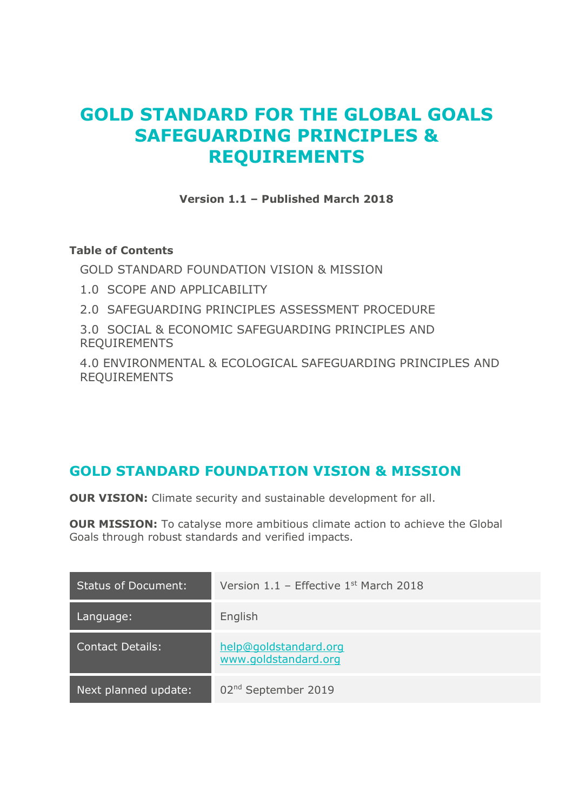# **GOLD STANDARD FOR THE GLOBAL GOALS SAFEGUARDING PRINCIPLES & REQUIREMENTS**

**Version 1.1 – Published March 2018**

### **Table of Contents**

[GOLD STANDARD FOUNDATION VISION & MISSION](#page-0-0)

- [1.0 SCOPE AND APPLICABILITY](#page-1-0)
- [2.0 SAFEGUARDING PRINCIPLES ASSESSMENT PROCEDURE](#page-1-1)

[3.0 SOCIAL & ECONOMIC SAFEGUARDING PRINCIPLES AND](#page-3-0)  [REQUIREMENTS](#page-3-0)

[4.0 ENVIRONMENTAL & ECOLOGICAL SAFEGUARDING PRINCIPLES AND](#page-11-0)  [REQUIREMENTS](#page-11-0)

# <span id="page-0-0"></span>**GOLD STANDARD FOUNDATION VISION & MISSION**

**OUR VISION:** Climate security and sustainable development for all.

**OUR MISSION:** To catalyse more ambitious climate action to achieve the Global Goals through robust standards and verified impacts.

| <b>Status of Document:</b> | Version $1.1$ – Effective $1st$ March 2018    |
|----------------------------|-----------------------------------------------|
| Language:                  | English                                       |
| <b>Contact Details:</b>    | help@goldstandard.org<br>www.goldstandard.org |
| Next planned update:       | 02 <sup>nd</sup> September 2019               |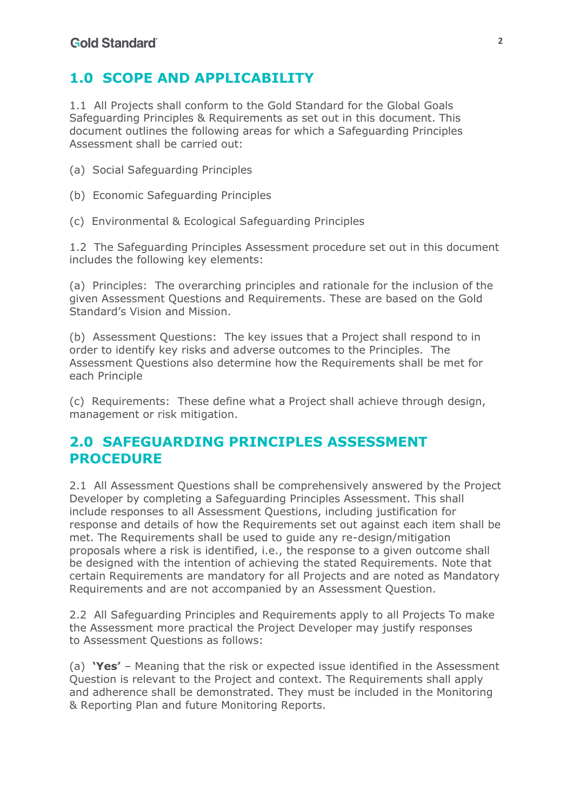# <span id="page-1-0"></span>**1.0 SCOPE AND APPLICABILITY**

1.1 All Projects shall conform to the Gold Standard for the Global Goals Safeguarding Principles & Requirements as set out in this document. This document outlines the following areas for which a Safeguarding Principles Assessment shall be carried out:

- (a) Social Safeguarding Principles
- (b) Economic Safeguarding Principles
- (c) Environmental & Ecological Safeguarding Principles

1.2 The Safeguarding Principles Assessment procedure set out in this document includes the following key elements:

(a) Principles: The overarching principles and rationale for the inclusion of the given Assessment Questions and Requirements. These are based on the Gold Standard's Vision and Mission.

(b) Assessment Questions: The key issues that a Project shall respond to in order to identify key risks and adverse outcomes to the Principles. The Assessment Questions also determine how the Requirements shall be met for each Principle

(c) Requirements: These define what a Project shall achieve through design, management or risk mitigation.

# <span id="page-1-1"></span>**2.0 SAFEGUARDING PRINCIPLES ASSESSMENT PROCEDURE**

2.1 All Assessment Questions shall be comprehensively answered by the Project Developer by completing a Safeguarding Principles Assessment. This shall include responses to all Assessment Questions, including justification for response and details of how the Requirements set out against each item shall be met. The Requirements shall be used to guide any re-design/mitigation proposals where a risk is identified, i.e., the response to a given outcome shall be designed with the intention of achieving the stated Requirements. Note that certain Requirements are mandatory for all Projects and are noted as Mandatory Requirements and are not accompanied by an Assessment Question.

2.2 All Safeguarding Principles and Requirements apply to all Projects To make the Assessment more practical the Project Developer may justify responses to Assessment Questions as follows:

(a) **'Yes'** – Meaning that the risk or expected issue identified in the Assessment Question is relevant to the Project and context. The Requirements shall apply and adherence shall be demonstrated. They must be included in the Monitoring & Reporting Plan and future Monitoring Reports.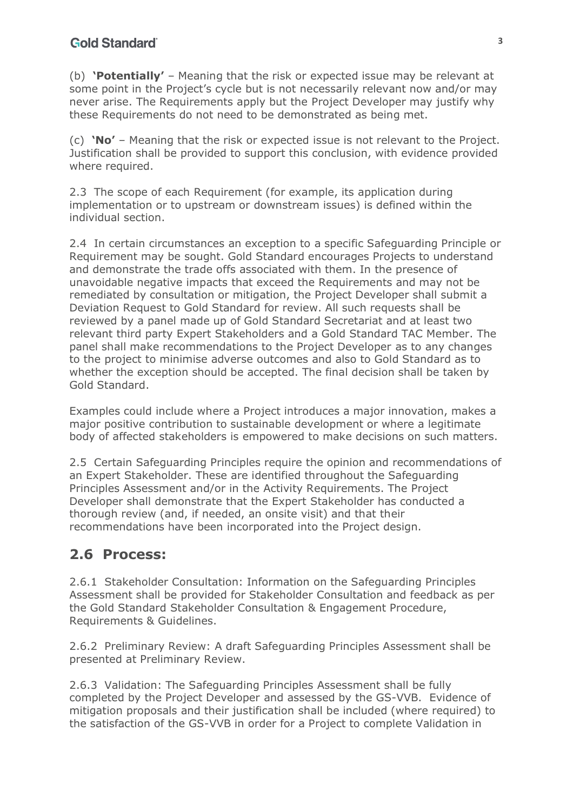(b) **'Potentially'** – Meaning that the risk or expected issue may be relevant at some point in the Project's cycle but is not necessarily relevant now and/or may never arise. The Requirements apply but the Project Developer may justify why these Requirements do not need to be demonstrated as being met.

(c) **'No'** – Meaning that the risk or expected issue is not relevant to the Project. Justification shall be provided to support this conclusion, with evidence provided where required.

2.3 The scope of each Requirement (for example, its application during implementation or to upstream or downstream issues) is defined within the individual section.

2.4 In certain circumstances an exception to a specific Safeguarding Principle or Requirement may be sought. Gold Standard encourages Projects to understand and demonstrate the trade offs associated with them. In the presence of unavoidable negative impacts that exceed the Requirements and may not be remediated by consultation or mitigation, the Project Developer shall submit a Deviation Request to Gold Standard for review. All such requests shall be reviewed by a panel made up of Gold Standard Secretariat and at least two relevant third party Expert Stakeholders and a Gold Standard TAC Member. The panel shall make recommendations to the Project Developer as to any changes to the project to minimise adverse outcomes and also to Gold Standard as to whether the exception should be accepted. The final decision shall be taken by Gold Standard.

Examples could include where a Project introduces a major innovation, makes a major positive contribution to sustainable development or where a legitimate body of affected stakeholders is empowered to make decisions on such matters.

2.5 Certain Safeguarding Principles require the opinion and recommendations of an Expert Stakeholder. These are identified throughout the Safeguarding Principles Assessment and/or in the Activity Requirements. The Project Developer shall demonstrate that the Expert Stakeholder has conducted a thorough review (and, if needed, an onsite visit) and that their recommendations have been incorporated into the Project design.

# **2.6 Process:**

2.6.1 Stakeholder Consultation: Information on the Safeguarding Principles Assessment shall be provided for Stakeholder Consultation and feedback as per the Gold Standard Stakeholder Consultation & Engagement Procedure, Requirements & Guidelines.

2.6.2 Preliminary Review: A draft Safeguarding Principles Assessment shall be presented at Preliminary Review.

2.6.3 Validation: The Safeguarding Principles Assessment shall be fully completed by the Project Developer and assessed by the GS-VVB. Evidence of mitigation proposals and their justification shall be included (where required) to the satisfaction of the GS-VVB in order for a Project to complete Validation in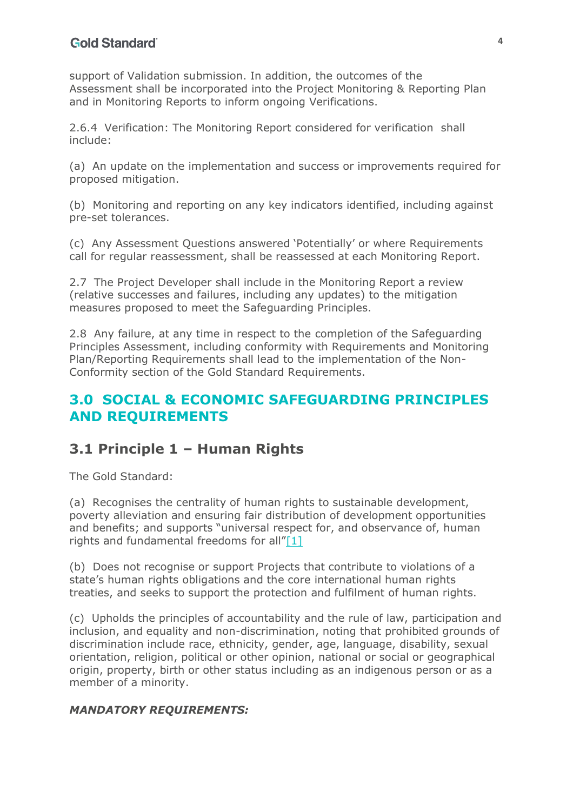support of Validation submission. In addition, the outcomes of the Assessment shall be incorporated into the Project Monitoring & Reporting Plan and in Monitoring Reports to inform ongoing Verifications.

2.6.4 Verification: The Monitoring Report considered for verification shall include:

(a) An update on the implementation and success or improvements required for proposed mitigation.

(b) Monitoring and reporting on any key indicators identified, including against pre-set tolerances.

(c) Any Assessment Questions answered 'Potentially' or where Requirements call for regular reassessment, shall be reassessed at each Monitoring Report.

2.7 The Project Developer shall include in the Monitoring Report a review (relative successes and failures, including any updates) to the mitigation measures proposed to meet the Safeguarding Principles.

2.8 Any failure, at any time in respect to the completion of the Safeguarding Principles Assessment, including conformity with Requirements and Monitoring Plan/Reporting Requirements shall lead to the implementation of the Non-Conformity section of the Gold Standard Requirements.

# <span id="page-3-0"></span>**3.0 SOCIAL & ECONOMIC SAFEGUARDING PRINCIPLES AND REQUIREMENTS**

# **3.1 Principle 1 – Human Rights**

The Gold Standard:

(a) Recognises the centrality of human rights to sustainable development, poverty alleviation and ensuring fair distribution of development opportunities and benefits; and supports "universal respect for, and observance of, human rights and fundamental freedoms for all"[\[1\]](#page-21-0)

<span id="page-3-1"></span>(b) Does not recognise or support Projects that contribute to violations of a state's human rights obligations and the core international human rights treaties, and seeks to support the protection and fulfilment of human rights.

(c) Upholds the principles of accountability and the rule of law, participation and inclusion, and equality and non-discrimination, noting that prohibited grounds of discrimination include race, ethnicity, gender, age, language, disability, sexual orientation, religion, political or other opinion, national or social or geographical origin, property, birth or other status including as an indigenous person or as a member of a minority.

## *MANDATORY REQUIREMENTS:*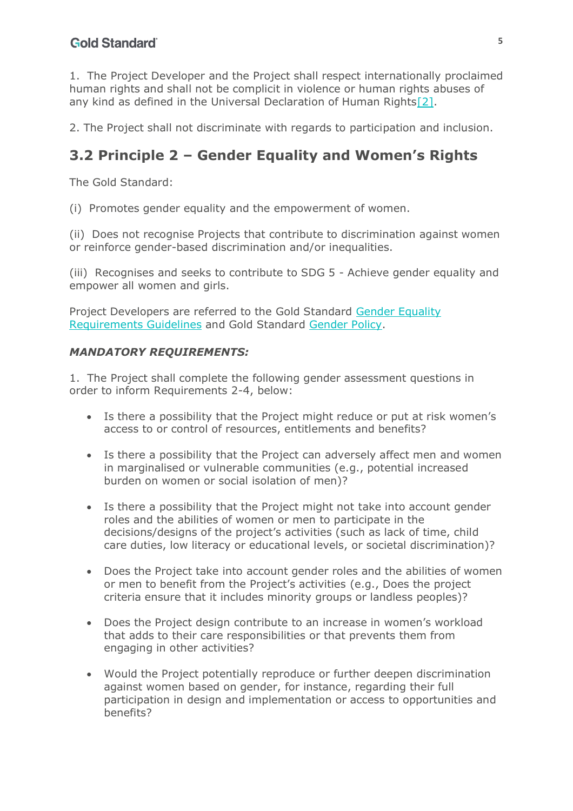<span id="page-4-0"></span>1. The Project Developer and the Project shall respect internationally proclaimed human rights and shall not be complicit in violence or human rights abuses of any kind as defined in the Universal Declaration of Human Rights<sup>[2]</sup>.

2. The Project shall not discriminate with regards to participation and inclusion.

# **3.2 Principle 2 – Gender Equality and Women's Rights**

The Gold Standard:

(i) Promotes gender equality and the empowerment of women.

(ii) Does not recognise Projects that contribute to discrimination against women or reinforce gender-based discrimination and/or inequalities.

(iii) Recognises and seeks to contribute to SDG 5 - Achieve gender equality and empower all women and girls.

Project Developers are referred to the Gold Standard Gender Equality Requirements Guidelines and Gold Standard Gender Policy.

### *MANDATORY REQUIREMENTS:*

1. The Project shall complete the following gender assessment questions in order to inform Requirements 2-4, below:

- Is there a possibility that the Project might reduce or put at risk women's access to or control of resources, entitlements and benefits?
- Is there a possibility that the Project can adversely affect men and women in marginalised or vulnerable communities (e.g., potential increased burden on women or social isolation of men)?
- Is there a possibility that the Project might not take into account gender roles and the abilities of women or men to participate in the decisions/designs of the project's activities (such as lack of time, child care duties, low literacy or educational levels, or societal discrimination)?
- Does the Project take into account gender roles and the abilities of women or men to benefit from the Project's activities (e.g., Does the project criteria ensure that it includes minority groups or landless peoples)?
- Does the Project design contribute to an increase in women's workload that adds to their care responsibilities or that prevents them from engaging in other activities?
- Would the Project potentially reproduce or further deepen discrimination against women based on gender, for instance, regarding their full participation in design and implementation or access to opportunities and benefits?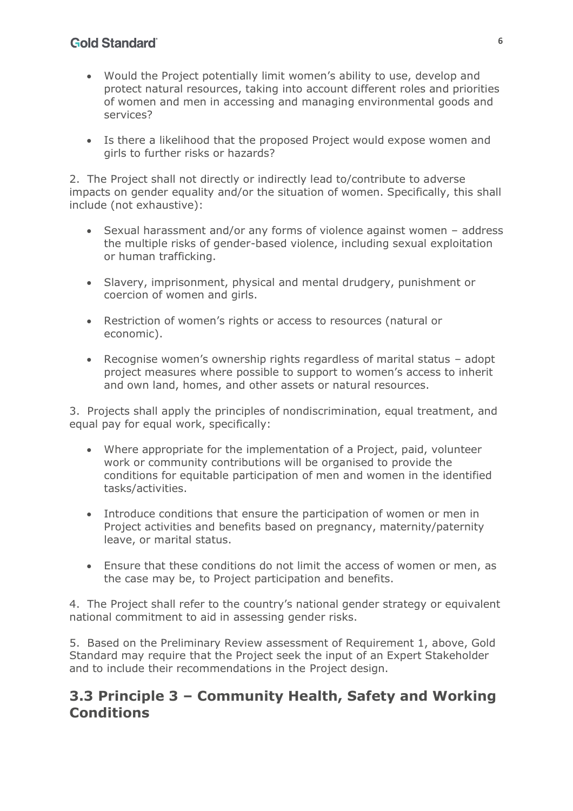- Would the Project potentially limit women's ability to use, develop and protect natural resources, taking into account different roles and priorities of women and men in accessing and managing environmental goods and services?
- Is there a likelihood that the proposed Project would expose women and girls to further risks or hazards?

2. The Project shall not directly or indirectly lead to/contribute to adverse impacts on gender equality and/or the situation of women. Specifically, this shall include (not exhaustive):

- Sexual harassment and/or any forms of violence against women address the multiple risks of gender-based violence, including sexual exploitation or human trafficking.
- Slavery, imprisonment, physical and mental drudgery, punishment or coercion of women and girls.
- Restriction of women's rights or access to resources (natural or economic).
- Recognise women's ownership rights regardless of marital status adopt project measures where possible to support to women's access to inherit and own land, homes, and other assets or natural resources.

3. Projects shall apply the principles of nondiscrimination, equal treatment, and equal pay for equal work, specifically:

- Where appropriate for the implementation of a Project, paid, volunteer work or community contributions will be organised to provide the conditions for equitable participation of men and women in the identified tasks/activities.
- Introduce conditions that ensure the participation of women or men in Project activities and benefits based on pregnancy, maternity/paternity leave, or marital status.
- Ensure that these conditions do not limit the access of women or men, as the case may be, to Project participation and benefits.

4. The Project shall refer to the country's national gender strategy or equivalent national commitment to aid in assessing gender risks.

5. Based on the Preliminary Review assessment of Requirement 1, above, Gold Standard may require that the Project seek the input of an Expert Stakeholder and to include their recommendations in the Project design.

# **3.3 Principle 3 – Community Health, Safety and Working Conditions**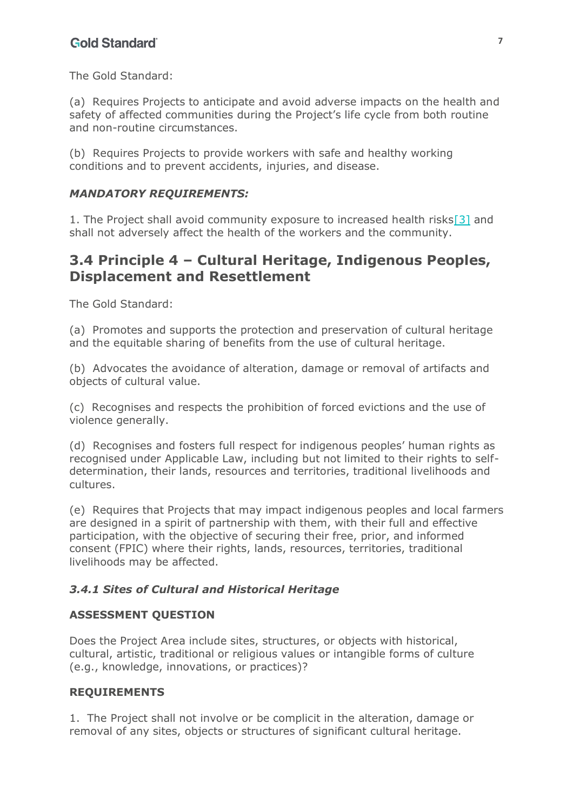The Gold Standard:

(a) Requires Projects to anticipate and avoid adverse impacts on the health and safety of affected communities during the Project's life cycle from both routine and non-routine circumstances.

(b) Requires Projects to provide workers with safe and healthy working conditions and to prevent accidents, injuries, and disease.

#### *MANDATORY REQUIREMENTS:*

<span id="page-6-0"></span>1. The Project shall avoid community exposure to increased health risk[s\[3\]](#page-21-2) and shall not adversely affect the health of the workers and the community.

## **3.4 Principle 4 – Cultural Heritage, Indigenous Peoples, Displacement and Resettlement**

The Gold Standard:

(a) Promotes and supports the protection and preservation of cultural heritage and the equitable sharing of benefits from the use of cultural heritage.

(b) Advocates the avoidance of alteration, damage or removal of artifacts and objects of cultural value.

(c) Recognises and respects the prohibition of forced evictions and the use of violence generally.

(d) Recognises and fosters full respect for indigenous peoples' human rights as recognised under Applicable Law, including but not limited to their rights to selfdetermination, their lands, resources and territories, traditional livelihoods and cultures.

(e) Requires that Projects that may impact indigenous peoples and local farmers are designed in a spirit of partnership with them, with their full and effective participation, with the objective of securing their free, prior, and informed consent (FPIC) where their rights, lands, resources, territories, traditional livelihoods may be affected.

#### *3.4.1 Sites of Cultural and Historical Heritage*

#### **ASSESSMENT QUESTION**

Does the Project Area include sites, structures, or objects with historical, cultural, artistic, traditional or religious values or intangible forms of culture (e.g., knowledge, innovations, or practices)?

#### **REQUIREMENTS**

1. The Project shall not involve or be complicit in the alteration, damage or removal of any sites, objects or structures of significant cultural heritage.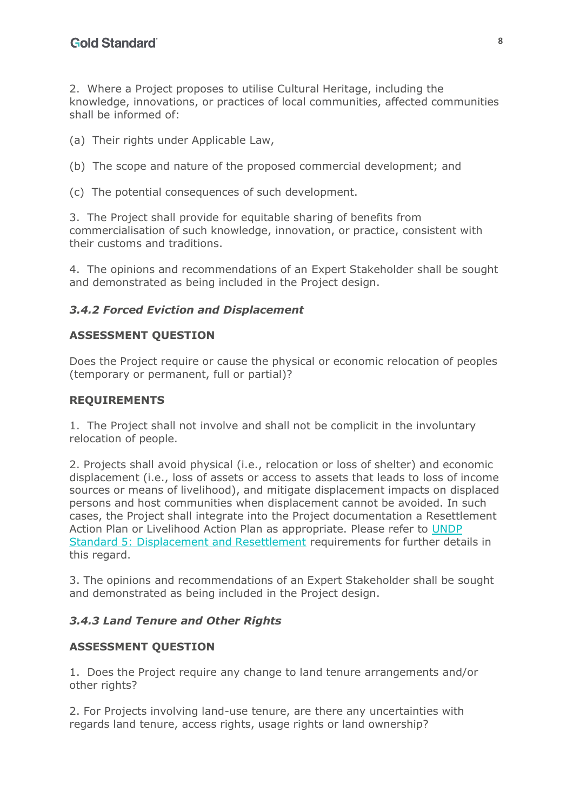2. Where a Project proposes to utilise Cultural Heritage, including the knowledge, innovations, or practices of local communities, affected communities shall be informed of:

- (a) Their rights under Applicable Law,
- (b) The scope and nature of the proposed commercial development; and
- (c) The potential consequences of such development.

3. The Project shall provide for equitable sharing of benefits from commercialisation of such knowledge, innovation, or practice, consistent with their customs and traditions.

4. The opinions and recommendations of an Expert Stakeholder shall be sought and demonstrated as being included in the Project design.

## *3.4.2 Forced Eviction and Displacement*

#### **ASSESSMENT QUESTION**

Does the Project require or cause the physical or economic relocation of peoples (temporary or permanent, full or partial)?

#### **REQUIREMENTS**

1. The Project shall not involve and shall not be complicit in the involuntary relocation of people.

2. Projects shall avoid physical (i.e., relocation or loss of shelter) and economic displacement (i.e., loss of assets or access to assets that leads to loss of income sources or means of livelihood), and mitigate displacement impacts on displaced persons and host communities when displacement cannot be avoided. In such cases, the Project shall integrate into the Project documentation a Resettlement Action Plan or Livelihood Action Plan as appropriate. Please refer to UNDP Standard 5: Displacement and Resettlement requirements for further details in this regard.

3. The opinions and recommendations of an Expert Stakeholder shall be sought and demonstrated as being included in the Project design.

#### *3.4.3 Land Tenure and Other Rights*

#### **ASSESSMENT QUESTION**

1. Does the Project require any change to land tenure arrangements and/or other rights?

2. For Projects involving land-use tenure, are there any uncertainties with regards land tenure, access rights, usage rights or land ownership?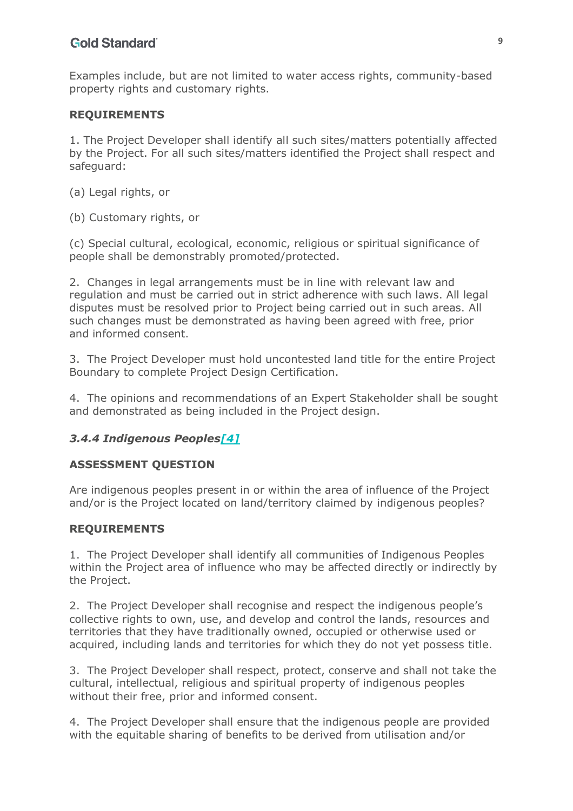Examples include, but are not limited to water access rights, community-based property rights and customary rights.

#### **REQUIREMENTS**

1. The Project Developer shall identify all such sites/matters potentially affected by the Project. For all such sites/matters identified the Project shall respect and safeguard:

- (a) Legal rights, or
- (b) Customary rights, or

(c) Special cultural, ecological, economic, religious or spiritual significance of people shall be demonstrably promoted/protected.

2. Changes in legal arrangements must be in line with relevant law and regulation and must be carried out in strict adherence with such laws. All legal disputes must be resolved prior to Project being carried out in such areas. All such changes must be demonstrated as having been agreed with free, prior and informed consent.

3. The Project Developer must hold uncontested land title for the entire Project Boundary to complete Project Design Certification.

4. The opinions and recommendations of an Expert Stakeholder shall be sought and demonstrated as being included in the Project design.

#### <span id="page-8-0"></span>*3.4.4 Indigenous People[s\[4\]](#page-22-0)*

#### **ASSESSMENT QUESTION**

Are indigenous peoples present in or within the area of influence of the Project and/or is the Project located on land/territory claimed by indigenous peoples?

#### **REQUIREMENTS**

1. The Project Developer shall identify all communities of Indigenous Peoples within the Project area of influence who may be affected directly or indirectly by the Project.

2. The Project Developer shall recognise and respect the indigenous people's collective rights to own, use, and develop and control the lands, resources and territories that they have traditionally owned, occupied or otherwise used or acquired, including lands and territories for which they do not yet possess title.

3. The Project Developer shall respect, protect, conserve and shall not take the cultural, intellectual, religious and spiritual property of indigenous peoples without their free, prior and informed consent.

4. The Project Developer shall ensure that the indigenous people are provided with the equitable sharing of benefits to be derived from utilisation and/or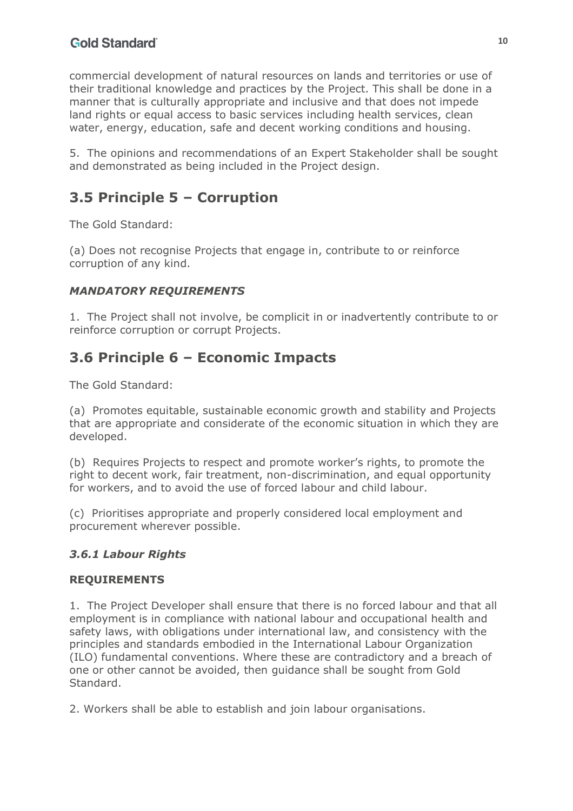commercial development of natural resources on lands and territories or use of their traditional knowledge and practices by the Project. This shall be done in a manner that is culturally appropriate and inclusive and that does not impede land rights or equal access to basic services including health services, clean water, energy, education, safe and decent working conditions and housing.

5. The opinions and recommendations of an Expert Stakeholder shall be sought and demonstrated as being included in the Project design.

# **3.5 Principle 5 – Corruption**

The Gold Standard:

(a) Does not recognise Projects that engage in, contribute to or reinforce corruption of any kind.

## *MANDATORY REQUIREMENTS*

1. The Project shall not involve, be complicit in or inadvertently contribute to or reinforce corruption or corrupt Projects.

# **3.6 Principle 6 – Economic Impacts**

The Gold Standard:

(a) Promotes equitable, sustainable economic growth and stability and Projects that are appropriate and considerate of the economic situation in which they are developed.

(b) Requires Projects to respect and promote worker's rights, to promote the right to decent work, fair treatment, non-discrimination, and equal opportunity for workers, and to avoid the use of forced labour and child labour.

(c) Prioritises appropriate and properly considered local employment and procurement wherever possible.

## *3.6.1 Labour Rights*

#### **REQUIREMENTS**

1. The Project Developer shall ensure that there is no forced labour and that all employment is in compliance with national labour and occupational health and safety laws, with obligations under international law, and consistency with the principles and standards embodied in the International Labour Organization (ILO) fundamental conventions. Where these are contradictory and a breach of one or other cannot be avoided, then guidance shall be sought from Gold Standard.

2. Workers shall be able to establish and join labour organisations.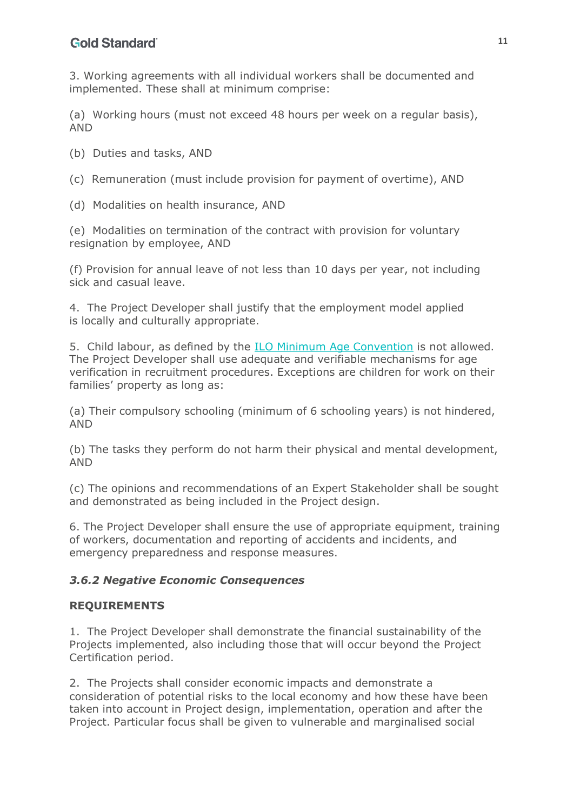3. Working agreements with all individual workers shall be documented and implemented. These shall at minimum comprise:

(a) Working hours (must not exceed 48 hours per week on a regular basis), AND

(b) Duties and tasks, AND

(c) Remuneration (must include provision for payment of overtime), AND

(d) Modalities on health insurance, AND

(e) Modalities on termination of the contract with provision for voluntary resignation by employee, AND

(f) Provision for annual leave of not less than 10 days per year, not including sick and casual leave.

4. The Project Developer shall justify that the employment model applied is locally and culturally appropriate.

5. Child labour, as defined by the ILO Minimum Age Convention is not allowed. The Project Developer shall use adequate and verifiable mechanisms for age verification in recruitment procedures. Exceptions are children for work on their families' property as long as:

(a) Their compulsory schooling (minimum of 6 schooling years) is not hindered, AND

(b) The tasks they perform do not harm their physical and mental development, AND

(c) The opinions and recommendations of an Expert Stakeholder shall be sought and demonstrated as being included in the Project design.

6. The Project Developer shall ensure the use of appropriate equipment, training of workers, documentation and reporting of accidents and incidents, and emergency preparedness and response measures.

## *3.6.2 Negative Economic Consequences*

#### **REQUIREMENTS**

1. The Project Developer shall demonstrate the financial sustainability of the Projects implemented, also including those that will occur beyond the Project Certification period.

2. The Projects shall consider economic impacts and demonstrate a consideration of potential risks to the local economy and how these have been taken into account in Project design, implementation, operation and after the Project. Particular focus shall be given to vulnerable and marginalised social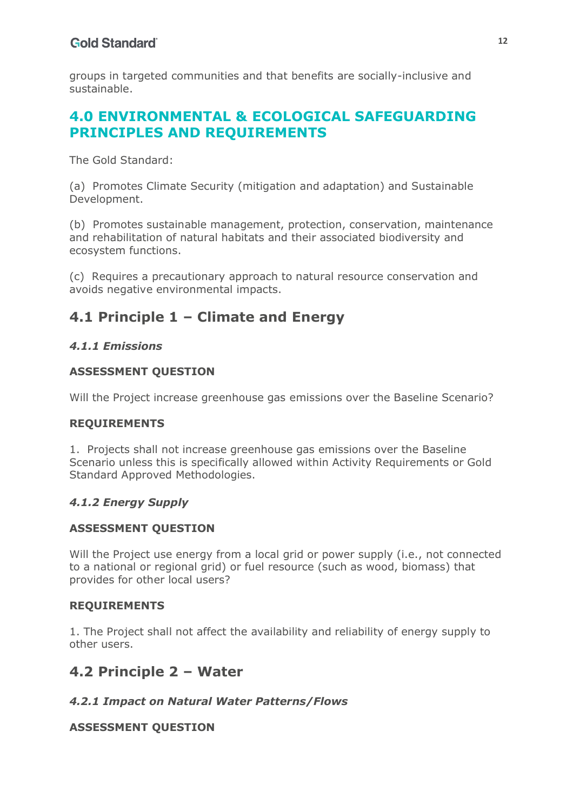groups in targeted communities and that benefits are socially-inclusive and sustainable.

# <span id="page-11-0"></span>**4.0 ENVIRONMENTAL & ECOLOGICAL SAFEGUARDING PRINCIPLES AND REQUIREMENTS**

The Gold Standard:

(a) Promotes Climate Security (mitigation and adaptation) and Sustainable Development.

(b) Promotes sustainable management, protection, conservation, maintenance and rehabilitation of natural habitats and their associated biodiversity and ecosystem functions.

(c) Requires a precautionary approach to natural resource conservation and avoids negative environmental impacts.

# **4.1 Principle 1 – Climate and Energy**

## *4.1.1 Emissions*

## **ASSESSMENT QUESTION**

Will the Project increase greenhouse gas emissions over the Baseline Scenario?

## **REQUIREMENTS**

1. Projects shall not increase greenhouse gas emissions over the Baseline Scenario unless this is specifically allowed within Activity Requirements or Gold Standard Approved Methodologies.

## *4.1.2 Energy Supply*

## **ASSESSMENT QUESTION**

Will the Project use energy from a local grid or power supply (i.e., not connected to a national or regional grid) or fuel resource (such as wood, biomass) that provides for other local users?

## **REQUIREMENTS**

1. The Project shall not affect the availability and reliability of energy supply to other users.

# **4.2 Principle 2 – Water**

## *4.2.1 Impact on Natural Water Patterns/Flows*

## **ASSESSMENT QUESTION**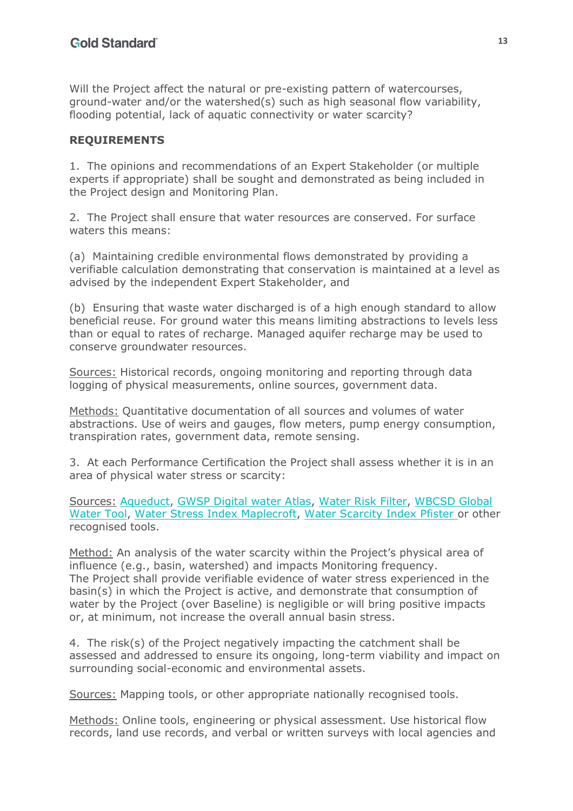Will the Project affect the natural or pre-existing pattern of watercourses, ground-water and/or the watershed(s) such as high seasonal flow variability, flooding potential, lack of aquatic connectivity or water scarcity?

## **REQUIREMENTS**

1. The opinions and recommendations of an Expert Stakeholder (or multiple experts if appropriate) shall be sought and demonstrated as being included in the Project design and Monitoring Plan.

2. The Project shall ensure that water resources are conserved. For surface waters this means:

(a) Maintaining credible environmental flows demonstrated by providing a verifiable calculation demonstrating that conservation is maintained at a level as advised by the independent Expert Stakeholder, and

(b) Ensuring that waste water discharged is of a high enough standard to allow beneficial reuse. For ground water this means limiting abstractions to levels less than or equal to rates of recharge. Managed aquifer recharge may be used to conserve groundwater resources.

Sources: Historical records, ongoing monitoring and reporting through data logging of physical measurements, online sources, government data.

Methods: Quantitative documentation of all sources and volumes of water abstractions. Use of weirs and gauges, flow meters, pump energy consumption, transpiration rates, government data, remote sensing.

3. At each Performance Certification the Project shall assess whether it is in an area of physical water stress or scarcity:

Sources: Aqueduct, GWSP Digital water Atlas, Water Risk Filter, WBCSD Global Water Tool, Water Stress Index Maplecroft, Water Scarcity Index Pfister or other recognised tools.

Method: An analysis of the water scarcity within the Project's physical area of influence (e.g., basin, watershed) and impacts Monitoring frequency. The Project shall provide verifiable evidence of water stress experienced in the basin(s) in which the Project is active, and demonstrate that consumption of water by the Project (over Baseline) is negligible or will bring positive impacts or, at minimum, not increase the overall annual basin stress.

4. The risk(s) of the Project negatively impacting the catchment shall be assessed and addressed to ensure its ongoing, long-term viability and impact on surrounding social-economic and environmental assets.

Sources: Mapping tools, or other appropriate nationally recognised tools.

Methods: Online tools, engineering or physical assessment. Use historical flow records, land use records, and verbal or written surveys with local agencies and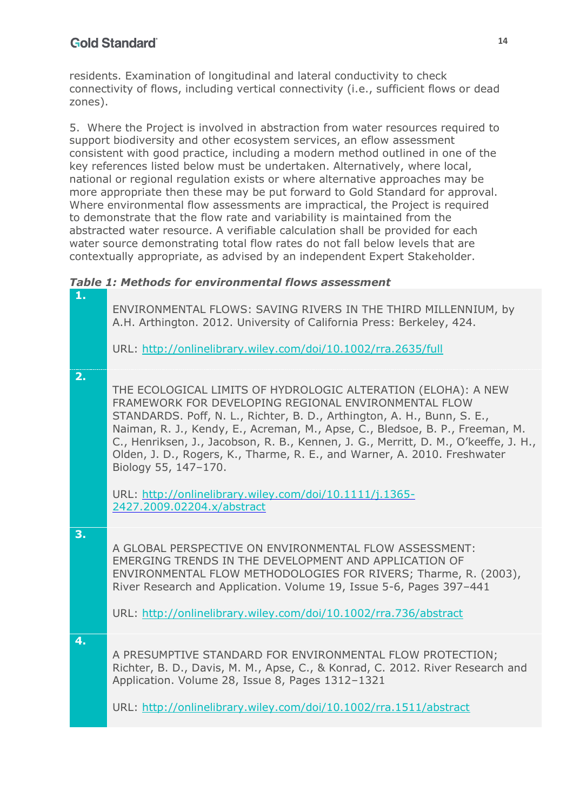residents. Examination of longitudinal and lateral conductivity to check connectivity of flows, including vertical connectivity (i.e., sufficient flows or dead zones).

5. Where the Project is involved in abstraction from water resources required to support biodiversity and other ecosystem services, an eflow assessment consistent with good practice, including a modern method outlined in one of the key references listed below must be undertaken. Alternatively, where local, national or regional regulation exists or where alternative approaches may be more appropriate then these may be put forward to Gold Standard for approval. Where environmental flow assessments are impractical, the Project is required to demonstrate that the flow rate and variability is maintained from the abstracted water resource. A verifiable calculation shall be provided for each water source demonstrating total flow rates do not fall below levels that are contextually appropriate, as advised by an independent Expert Stakeholder.

*Table 1: Methods for environmental flows assessment*

| 1. | ENVIRONMENTAL FLOWS: SAVING RIVERS IN THE THIRD MILLENNIUM, by<br>A.H. Arthington. 2012. University of California Press: Berkeley, 424.<br>URL: http://onlinelibrary.wiley.com/doi/10.1002/rra.2635/full                                                                                                                                                                                                                                                                                                                                                             |
|----|----------------------------------------------------------------------------------------------------------------------------------------------------------------------------------------------------------------------------------------------------------------------------------------------------------------------------------------------------------------------------------------------------------------------------------------------------------------------------------------------------------------------------------------------------------------------|
| 2. | THE ECOLOGICAL LIMITS OF HYDROLOGIC ALTERATION (ELOHA): A NEW<br>FRAMEWORK FOR DEVELOPING REGIONAL ENVIRONMENTAL FLOW<br>STANDARDS. Poff, N. L., Richter, B. D., Arthington, A. H., Bunn, S. E.,<br>Naiman, R. J., Kendy, E., Acreman, M., Apse, C., Bledsoe, B. P., Freeman, M.<br>C., Henriksen, J., Jacobson, R. B., Kennen, J. G., Merritt, D. M., O'keeffe, J. H.,<br>Olden, J. D., Rogers, K., Tharme, R. E., and Warner, A. 2010. Freshwater<br>Biology 55, 147-170.<br>URL: http://onlinelibrary.wiley.com/doi/10.1111/j.1365-<br>2427.2009.02204.x/abstract |
| 3. | A GLOBAL PERSPECTIVE ON ENVIRONMENTAL FLOW ASSESSMENT:<br>EMERGING TRENDS IN THE DEVELOPMENT AND APPLICATION OF<br>ENVIRONMENTAL FLOW METHODOLOGIES FOR RIVERS; Tharme, R. (2003),<br>River Research and Application. Volume 19, Issue 5-6, Pages 397-441<br>URL: http://onlinelibrary.wiley.com/doi/10.1002/rra.736/abstract                                                                                                                                                                                                                                        |
| 4. | A PRESUMPTIVE STANDARD FOR ENVIRONMENTAL FLOW PROTECTION;<br>Richter, B. D., Davis, M. M., Apse, C., & Konrad, C. 2012. River Research and<br>Application. Volume 28, Issue 8, Pages 1312-1321<br>URL: http://onlinelibrary.wiley.com/doi/10.1002/rra.1511/abstract                                                                                                                                                                                                                                                                                                  |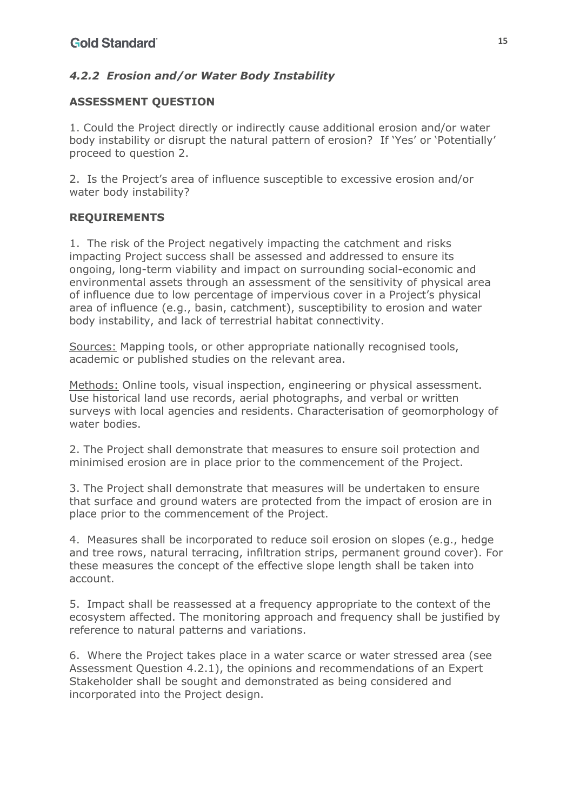## *4.2.2 Erosion and/or Water Body Instability*

## **ASSESSMENT QUESTION**

1. Could the Project directly or indirectly cause additional erosion and/or water body instability or disrupt the natural pattern of erosion? If 'Yes' or 'Potentially' proceed to question 2.

2. Is the Project's area of influence susceptible to excessive erosion and/or water body instability?

## **REQUIREMENTS**

1. The risk of the Project negatively impacting the catchment and risks impacting Project success shall be assessed and addressed to ensure its ongoing, long-term viability and impact on surrounding social-economic and environmental assets through an assessment of the sensitivity of physical area of influence due to low percentage of impervious cover in a Project's physical area of influence (e.g., basin, catchment), susceptibility to erosion and water body instability, and lack of terrestrial habitat connectivity.

Sources: Mapping tools, or other appropriate nationally recognised tools, academic or published studies on the relevant area.

Methods: Online tools, visual inspection, engineering or physical assessment. Use historical land use records, aerial photographs, and verbal or written surveys with local agencies and residents. Characterisation of geomorphology of water bodies.

2. The Project shall demonstrate that measures to ensure soil protection and minimised erosion are in place prior to the commencement of the Project.

3. The Project shall demonstrate that measures will be undertaken to ensure that surface and ground waters are protected from the impact of erosion are in place prior to the commencement of the Project.

4. Measures shall be incorporated to reduce soil erosion on slopes (e.g., hedge and tree rows, natural terracing, infiltration strips, permanent ground cover). For these measures the concept of the effective slope length shall be taken into account.

5. Impact shall be reassessed at a frequency appropriate to the context of the ecosystem affected. The monitoring approach and frequency shall be justified by reference to natural patterns and variations.

6. Where the Project takes place in a water scarce or water stressed area (see Assessment Question 4.2.1), the opinions and recommendations of an Expert Stakeholder shall be sought and demonstrated as being considered and incorporated into the Project design.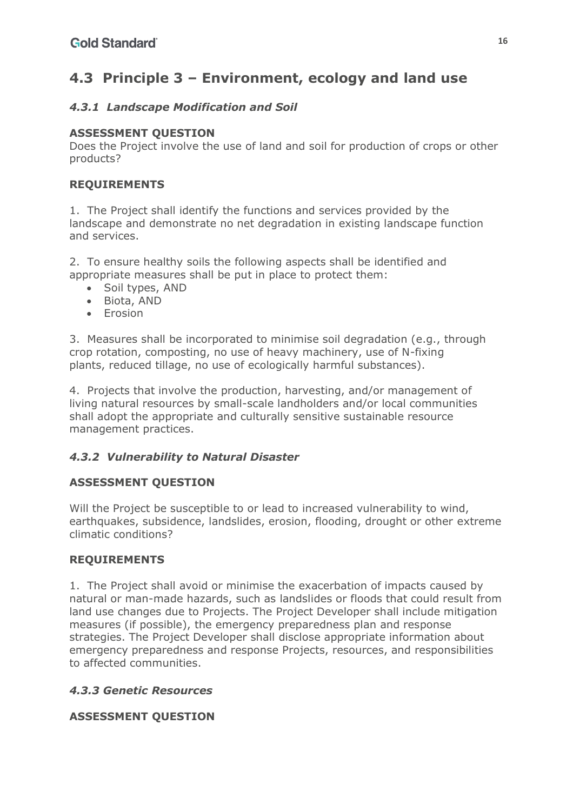# **4.3 Principle 3 – Environment, ecology and land use**

## *4.3.1 Landscape Modification and Soil*

### **ASSESSMENT QUESTION**

Does the Project involve the use of land and soil for production of crops or other products?

### **REQUIREMENTS**

1. The Project shall identify the functions and services provided by the landscape and demonstrate no net degradation in existing landscape function and services.

2. To ensure healthy soils the following aspects shall be identified and appropriate measures shall be put in place to protect them:

- Soil types, AND
- Biota, AND
- Erosion

3. Measures shall be incorporated to minimise soil degradation (e.g., through crop rotation, composting, no use of heavy machinery, use of N-fixing plants, reduced tillage, no use of ecologically harmful substances).

4. Projects that involve the production, harvesting, and/or management of living natural resources by small-scale landholders and/or local communities shall adopt the appropriate and culturally sensitive sustainable resource management practices.

## *4.3.2 Vulnerability to Natural Disaster*

## **ASSESSMENT QUESTION**

Will the Project be susceptible to or lead to increased vulnerability to wind, earthquakes, subsidence, landslides, erosion, flooding, drought or other extreme climatic conditions?

#### **REQUIREMENTS**

1. The Project shall avoid or minimise the exacerbation of impacts caused by natural or man-made hazards, such as landslides or floods that could result from land use changes due to Projects. The Project Developer shall include mitigation measures (if possible), the emergency preparedness plan and response strategies. The Project Developer shall disclose appropriate information about emergency preparedness and response Projects, resources, and responsibilities to affected communities.

#### *4.3.3 Genetic Resources*

#### **ASSESSMENT QUESTION**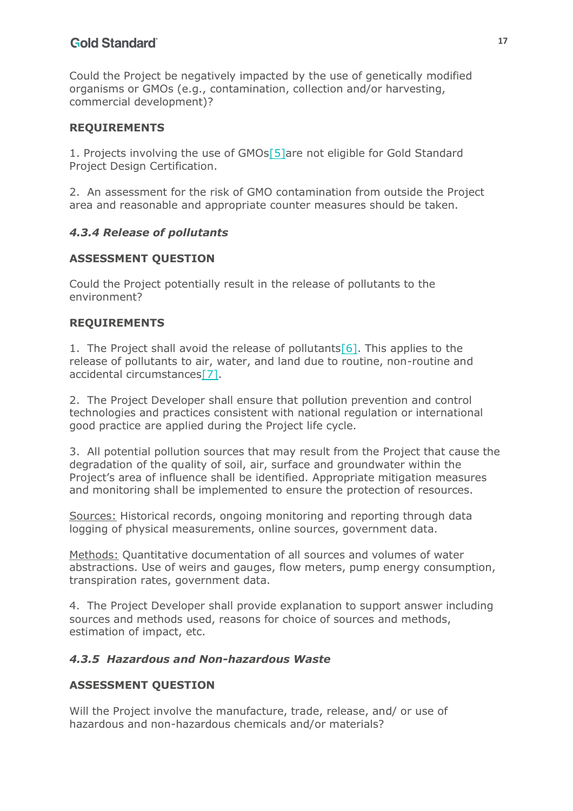Could the Project be negatively impacted by the use of genetically modified organisms or GMOs (e.g., contamination, collection and/or harvesting, commercial development)?

#### **REQUIREMENTS**

<span id="page-16-0"></span>1. Projects involving the use of GMO[s\[5\]a](#page-22-1)re not eligible for Gold Standard Project Design Certification.

2. An assessment for the risk of GMO contamination from outside the Project area and reasonable and appropriate counter measures should be taken.

### *4.3.4 Release of pollutants*

### **ASSESSMENT QUESTION**

Could the Project potentially result in the release of pollutants to the environment?

#### **REQUIREMENTS**

<span id="page-16-2"></span><span id="page-16-1"></span>1. The Project shall avoid the release of pollutants  $[6]$ . This applies to the release of pollutants to air, water, and land due to routine, non-routine and accidental circumstance[s\[7\].](#page-22-3)

2. The Project Developer shall ensure that pollution prevention and control technologies and practices consistent with national regulation or international good practice are applied during the Project life cycle.

3. All potential pollution sources that may result from the Project that cause the degradation of the quality of soil, air, surface and groundwater within the Project's area of influence shall be identified. Appropriate mitigation measures and monitoring shall be implemented to ensure the protection of resources.

Sources: Historical records, ongoing monitoring and reporting through data logging of physical measurements, online sources, government data.

Methods: Quantitative documentation of all sources and volumes of water abstractions. Use of weirs and gauges, flow meters, pump energy consumption, transpiration rates, government data.

4. The Project Developer shall provide explanation to support answer including sources and methods used, reasons for choice of sources and methods, estimation of impact, etc.

#### *4.3.5 Hazardous and Non-hazardous Waste*

#### **ASSESSMENT QUESTION**

Will the Project involve the manufacture, trade, release, and/ or use of hazardous and non-hazardous chemicals and/or materials?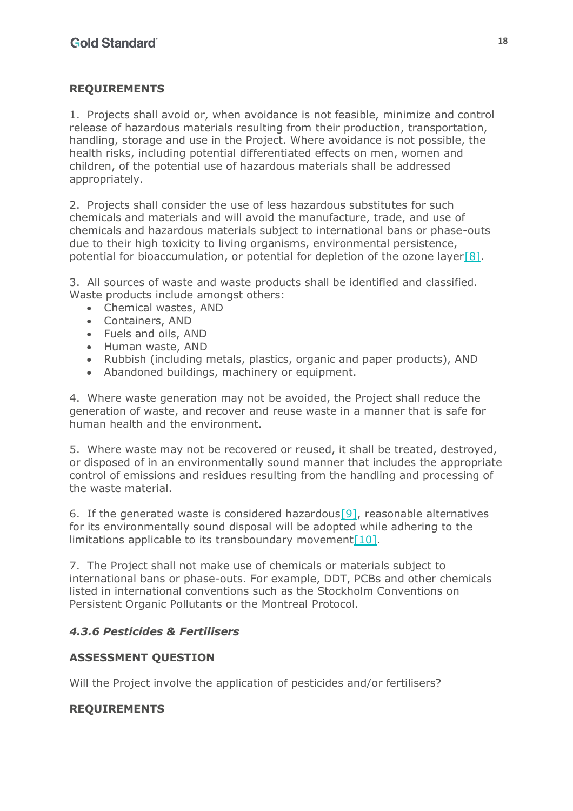## **REQUIREMENTS**

1. Projects shall avoid or, when avoidance is not feasible, minimize and control release of hazardous materials resulting from their production, transportation, handling, storage and use in the Project. Where avoidance is not possible, the health risks, including potential differentiated effects on men, women and children, of the potential use of hazardous materials shall be addressed appropriately.

2. Projects shall consider the use of less hazardous substitutes for such chemicals and materials and will avoid the manufacture, trade, and use of chemicals and hazardous materials subject to international bans or phase-outs due to their high toxicity to living organisms, environmental persistence, potential for bioaccumulation, or potential for depletion of the ozone layer<sup>[8]</sup>.

3. All sources of waste and waste products shall be identified and classified. Waste products include amongst others:

- <span id="page-17-0"></span>• Chemical wastes, AND
- Containers, AND
- Fuels and oils, AND
- Human waste, AND
- Rubbish (including metals, plastics, organic and paper products), AND
- Abandoned buildings, machinery or equipment.

4. Where waste generation may not be avoided, the Project shall reduce the generation of waste, and recover and reuse waste in a manner that is safe for human health and the environment.

5. Where waste may not be recovered or reused, it shall be treated, destroyed, or disposed of in an environmentally sound manner that includes the appropriate control of emissions and residues resulting from the handling and processing of the waste material.

<span id="page-17-2"></span><span id="page-17-1"></span>6. If the generated waste is considered hazardous [9], reasonable alternatives for its environmentally sound disposal will be adopted while adhering to the limitations applicable to its transboundary movement $[10]$ .

7. The Project shall not make use of chemicals or materials subject to international bans or phase-outs. For example, DDT, PCBs and other chemicals listed in international conventions such as the Stockholm Conventions on Persistent Organic Pollutants or the Montreal Protocol.

## *4.3.6 Pesticides & Fertilisers*

#### **ASSESSMENT QUESTION**

Will the Project involve the application of pesticides and/or fertilisers?

## **REQUIREMENTS**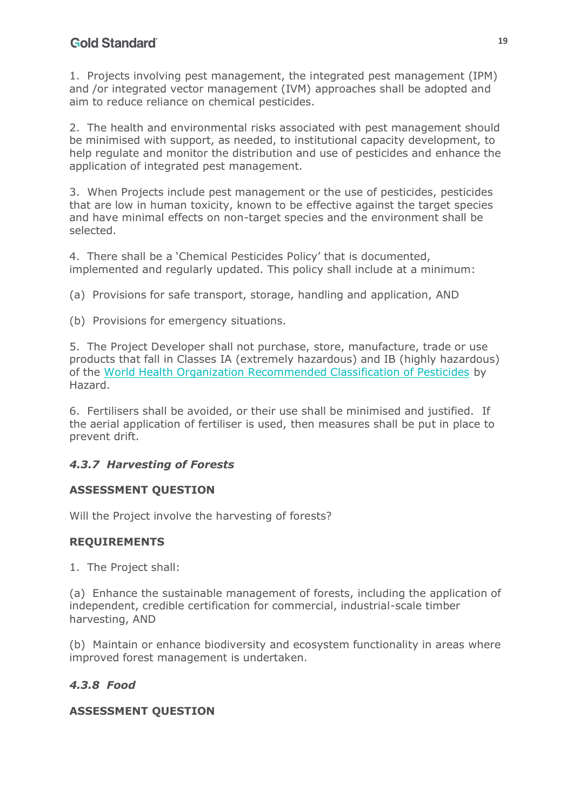1. Projects involving pest management, the integrated pest management (IPM) and /or integrated vector management (IVM) approaches shall be adopted and aim to reduce reliance on chemical pesticides.

2. The health and environmental risks associated with pest management should be minimised with support, as needed, to institutional capacity development, to help regulate and monitor the distribution and use of pesticides and enhance the application of integrated pest management.

3. When Projects include pest management or the use of pesticides, pesticides that are low in human toxicity, known to be effective against the target species and have minimal effects on non-target species and the environment shall be selected.

4. There shall be a 'Chemical Pesticides Policy' that is documented, implemented and regularly updated. This policy shall include at a minimum:

(a) Provisions for safe transport, storage, handling and application, AND

(b) Provisions for emergency situations.

5. The Project Developer shall not purchase, store, manufacture, trade or use products that fall in Classes IA (extremely hazardous) and IB (highly hazardous) of the World Health Organization Recommended Classification of Pesticides by Hazard.

6. Fertilisers shall be avoided, or their use shall be minimised and justified. If the aerial application of fertiliser is used, then measures shall be put in place to prevent drift.

## *4.3.7 Harvesting of Forests*

#### **ASSESSMENT QUESTION**

Will the Project involve the harvesting of forests?

#### **REQUIREMENTS**

1. The Project shall:

(a) Enhance the sustainable management of forests, including the application of independent, credible certification for commercial, industrial-scale timber harvesting, AND

(b) Maintain or enhance biodiversity and ecosystem functionality in areas where improved forest management is undertaken.

## *4.3.8 Food*

#### **ASSESSMENT QUESTION**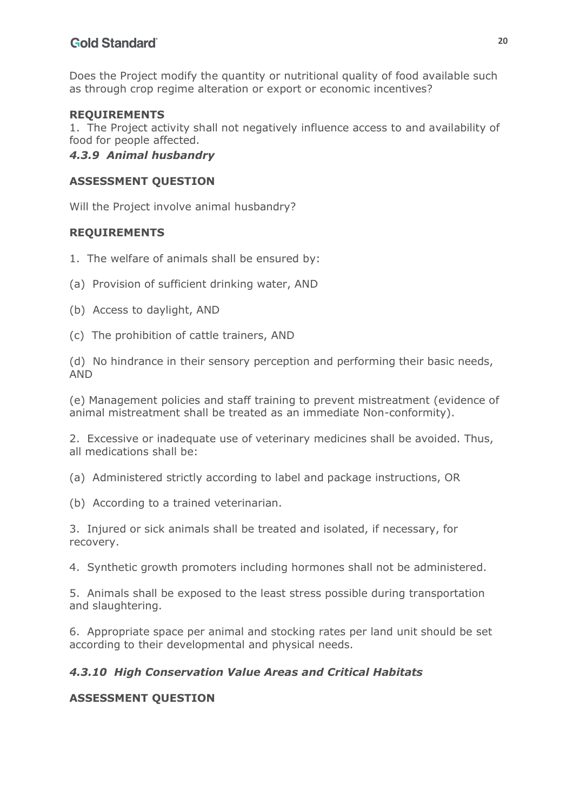Does the Project modify the quantity or nutritional quality of food available such as through crop regime alteration or export or economic incentives?

#### **REQUIREMENTS**

1. The Project activity shall not negatively influence access to and availability of food for people affected.

### *4.3.9 Animal husbandry*

#### **ASSESSMENT QUESTION**

Will the Project involve animal husbandry?

#### **REQUIREMENTS**

- 1. The welfare of animals shall be ensured by:
- (a) Provision of sufficient drinking water, AND
- (b) Access to daylight, AND
- (c) The prohibition of cattle trainers, AND

(d) No hindrance in their sensory perception and performing their basic needs, AND

(e) Management policies and staff training to prevent mistreatment (evidence of animal mistreatment shall be treated as an immediate Non-conformity).

2. Excessive or inadequate use of veterinary medicines shall be avoided. Thus, all medications shall be:

(a) Administered strictly according to label and package instructions, OR

(b) According to a trained veterinarian.

3. Injured or sick animals shall be treated and isolated, if necessary, for recovery.

4. Synthetic growth promoters including hormones shall not be administered.

5. Animals shall be exposed to the least stress possible during transportation and slaughtering.

6. Appropriate space per animal and stocking rates per land unit should be set according to their developmental and physical needs.

#### *4.3.10 High Conservation Value Areas and Critical Habitats*

#### **ASSESSMENT QUESTION**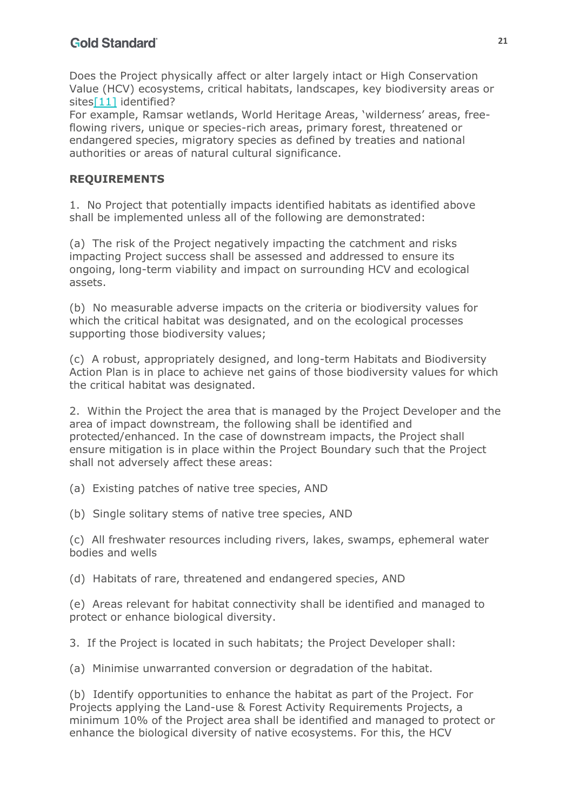Does the Project physically affect or alter largely intact or High Conservation Value (HCV) ecosystems, critical habitats, landscapes, key biodiversity areas or sites<sup>[11]</sup> identified?

<span id="page-20-0"></span>For example, Ramsar wetlands, World Heritage Areas, 'wilderness' areas, freeflowing rivers, unique or species-rich areas, primary forest, threatened or endangered species, migratory species as defined by treaties and national authorities or areas of natural cultural significance.

### **REQUIREMENTS**

1. No Project that potentially impacts identified habitats as identified above shall be implemented unless all of the following are demonstrated:

(a) The risk of the Project negatively impacting the catchment and risks impacting Project success shall be assessed and addressed to ensure its ongoing, long-term viability and impact on surrounding HCV and ecological assets.

(b) No measurable adverse impacts on the criteria or biodiversity values for which the critical habitat was designated, and on the ecological processes supporting those biodiversity values;

(c) A robust, appropriately designed, and long-term Habitats and Biodiversity Action Plan is in place to achieve net gains of those biodiversity values for which the critical habitat was designated.

2. Within the Project the area that is managed by the Project Developer and the area of impact downstream, the following shall be identified and protected/enhanced. In the case of downstream impacts, the Project shall ensure mitigation is in place within the Project Boundary such that the Project shall not adversely affect these areas:

(a) Existing patches of native tree species, AND

(b) Single solitary stems of native tree species, AND

(c) All freshwater resources including rivers, lakes, swamps, ephemeral water bodies and wells

(d) Habitats of rare, threatened and endangered species, AND

(e) Areas relevant for habitat connectivity shall be identified and managed to protect or enhance biological diversity.

3. If the Project is located in such habitats; the Project Developer shall:

(a) Minimise unwarranted conversion or degradation of the habitat.

(b) Identify opportunities to enhance the habitat as part of the Project. For Projects applying the Land-use & Forest Activity Requirements Projects, a minimum 10% of the Project area shall be identified and managed to protect or enhance the biological diversity of native ecosystems. For this, the HCV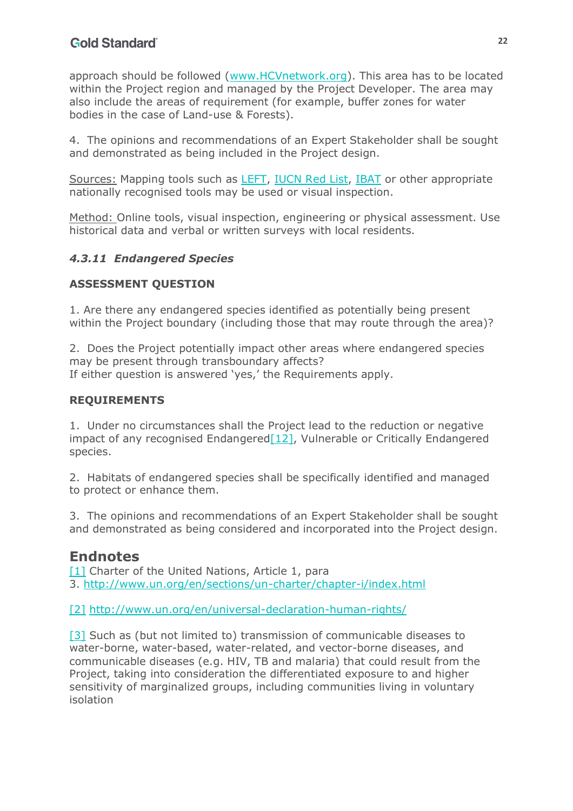approach should be followed (www.HCVnetwork.org). This area has to be located within the Project region and managed by the Project Developer. The area may also include the areas of requirement (for example, buffer zones for water bodies in the case of Land-use & Forests).

4. The opinions and recommendations of an Expert Stakeholder shall be sought and demonstrated as being included in the Project design.

Sources: Mapping tools such as LEFT, IUCN Red List, IBAT or other appropriate nationally recognised tools may be used or visual inspection.

Method: Online tools, visual inspection, engineering or physical assessment. Use historical data and verbal or written surveys with local residents.

## *4.3.11 Endangered Species*

## **ASSESSMENT QUESTION**

1. Are there any endangered species identified as potentially being present within the Project boundary (including those that may route through the area)?

2. Does the Project potentially impact other areas where endangered species may be present through transboundary affects? If either question is answered 'yes,' the Requirements apply.

## **REQUIREMENTS**

<span id="page-21-3"></span>1. Under no circumstances shall the Project lead to the reduction or negative impact of any recognised Endangere[d\[12\],](#page-23-0) Vulnerable or Critically Endangered species.

2. Habitats of endangered species shall be specifically identified and managed to protect or enhance them.

3. The opinions and recommendations of an Expert Stakeholder shall be sought and demonstrated as being considered and incorporated into the Project design.

# **Endnotes**

<span id="page-21-0"></span>[\[1\]](#page-3-1) Charter of the United Nations, Article 1, para 3. http://www.un.org/en/sections/un-charter/chapter-i/index.html

<span id="page-21-1"></span>[\[2\]](#page-4-0) http://www.un.org/en/universal-declaration-human-rights/

<span id="page-21-2"></span>[\[3\]](#page-6-0) Such as (but not limited to) transmission of communicable diseases to water-borne, water-based, water-related, and vector-borne diseases, and communicable diseases (e.g. HIV, TB and malaria) that could result from the Project, taking into consideration the differentiated exposure to and higher sensitivity of marginalized groups, including communities living in voluntary isolation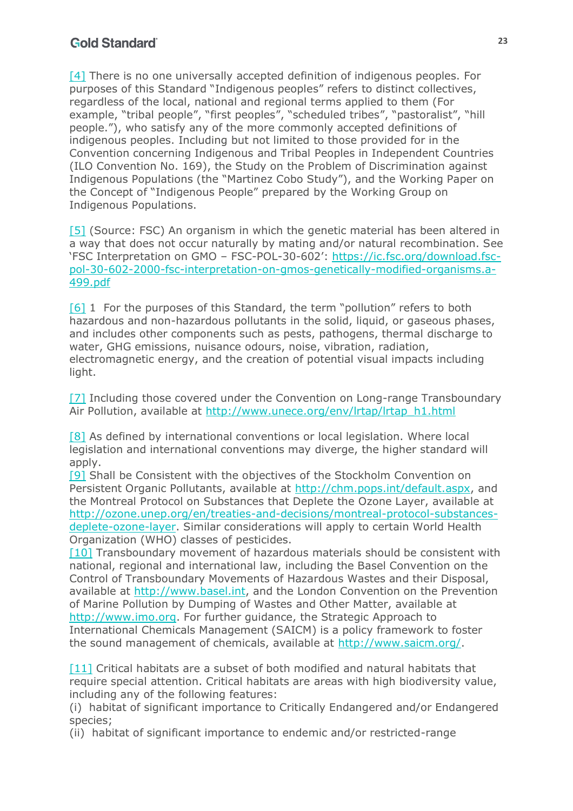<span id="page-22-0"></span>[\[4\]](#page-8-0) There is no one universally accepted definition of indigenous peoples. For purposes of this Standard "Indigenous peoples" refers to distinct collectives, regardless of the local, national and regional terms applied to them (For example, "tribal people", "first peoples", "scheduled tribes", "pastoralist", "hill people."), who satisfy any of the more commonly accepted definitions of indigenous peoples. Including but not limited to those provided for in the Convention concerning Indigenous and Tribal Peoples in Independent Countries (ILO Convention No. 169), the Study on the Problem of Discrimination against Indigenous Populations (the "Martinez Cobo Study"), and the Working Paper on the Concept of "Indigenous People" prepared by the Working Group on Indigenous Populations.

<span id="page-22-1"></span>[\[5\]](#page-16-0) (Source: FSC) An organism in which the genetic material has been altered in a way that does not occur naturally by mating and/or natural recombination. See 'FSC Interpretation on GMO – FSC-POL-30-602': https://ic.fsc.org/download.fscpol-30-602-2000-fsc-interpretation-on-gmos-genetically-modified-organisms.a-499.pdf

<span id="page-22-2"></span>[\[6\]](#page-16-1) 1 For the purposes of this Standard, the term "pollution" refers to both hazardous and non-hazardous pollutants in the solid, liquid, or gaseous phases, and includes other components such as pests, pathogens, thermal discharge to water, GHG emissions, nuisance odours, noise, vibration, radiation, electromagnetic energy, and the creation of potential visual impacts including light.

<span id="page-22-3"></span>[\[7\]](#page-16-2) Including those covered under the Convention on Long-range Transboundary Air Pollution, available at http://www.unece.org/env/lrtap/lrtap\_h1.html

<span id="page-22-4"></span>[\[8\]](#page-17-0) As defined by international conventions or local legislation. Where local legislation and international conventions may diverge, the higher standard will apply.

<span id="page-22-5"></span>[\[9\]](#page-17-1) Shall be Consistent with the objectives of the Stockholm Convention on Persistent Organic Pollutants, available at http://chm.pops.int/default.aspx, and the Montreal Protocol on Substances that Deplete the Ozone Layer, available at http://ozone.unep.org/en/treaties-and-decisions/montreal-protocol-substancesdeplete-ozone-layer. Similar considerations will apply to certain World Health Organization (WHO) classes of pesticides.

<span id="page-22-6"></span>[\[10\]](#page-17-2) Transboundary movement of hazardous materials should be consistent with national, regional and international law, including the Basel Convention on the Control of Transboundary Movements of Hazardous Wastes and their Disposal, available at http://www.basel.int, and the London Convention on the Prevention of Marine Pollution by Dumping of Wastes and Other Matter, available at http://www.imo.org. For further guidance, the Strategic Approach to International Chemicals Management (SAICM) is a policy framework to foster the sound management of chemicals, available at http://www.saicm.org/.

<span id="page-22-7"></span>[\[11\]](#page-20-0) Critical habitats are a subset of both modified and natural habitats that require special attention. Critical habitats are areas with high biodiversity value, including any of the following features:

(i) habitat of significant importance to Critically Endangered and/or Endangered species;

(ii) habitat of significant importance to endemic and/or restricted-range